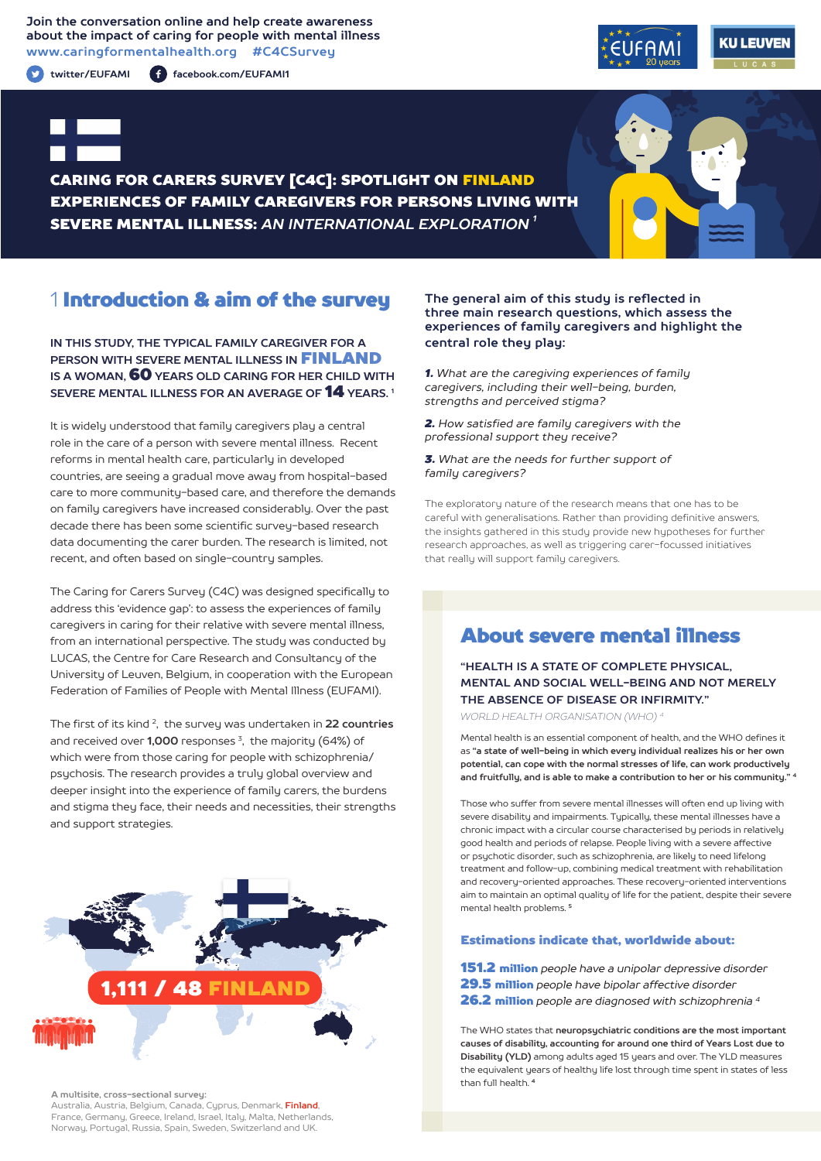### **Join the conversation online and help create awareness about the impact of caring for people with mental illness www.caringformentalhealth.org #C4CSurvey**

**twitter/EUFAMI facebook.com/EUFAMI1**





CARING FOR CARERS SURVEY [C4C]: SPOTLIGHT ON FINLAND EXPERIENCES OF FAMILY CAREGIVERS FOR PERSONS LIVING WITH SEVERE MENTAL ILLNESS: *AN INTERNATIONAL EXPLORATION 1*

# 1 Introduction & aim of the survey

**IN THIS STUDY, THE TYPICAL FAMILY CAREGIVER FOR A PERSON WITH SEVERE MENTAL ILLNESS IN** FINLAND **IS A WOMAN,** 60 **YEARS OLD CARING FOR HER CHILD WITH SEVERE MENTAL ILLNESS FOR AN AVERAGE OF** 14 **YEARS. 1**

It is widely understood that family caregivers play a central role in the care of a person with severe mental illness. Recent reforms in mental health care, particularly in developed countries, are seeing a gradual move away from hospital-based care to more community-based care, and therefore the demands on family caregivers have increased considerably. Over the past decade there has been some scientific survey-based research data documenting the carer burden. The research is limited, not recent, and often based on single-country samples.

The Caring for Carers Survey (C4C) was designed specifically to address this 'evidence gap': to assess the experiences of family caregivers in caring for their relative with severe mental illness, from an international perspective. The study was conducted by LUCAS, the Centre for Care Research and Consultancy of the University of Leuven, Belgium, in cooperation with the European Federation of Families of People with Mental Illness (EUFAMI).

The first of its kind 2, the survey was undertaken in **22 countries** and received over **1,000** responses 3, the majority (64%) of which were from those caring for people with schizophrenia/ psychosis. The research provides a truly global overview and deeper insight into the experience of family carers, the burdens and stigma they face, their needs and necessities, their strengths and support strategies.



**A multisite, cross-sectional survey:** 

Australia, Austria, Belgium, Canada, Cyprus, Denmark, **Finland**, France, Germany, Greece, Ireland, Israel, Italy, Malta, Netherlands, Norway, Portugal, Russia, Spain, Sweden, Switzerland and UK.

### **The general aim of this study is reflected in three main research questions, which assess the experiences of family caregivers and highlight the central role they play:**

*1. What are the caregiving experiences of family caregivers, including their well-being, burden, strengths and perceived stigma?*

*2. How satisfied are family caregivers with the professional support they receive?*

*3. What are the needs for further support of family caregivers?*

The exploratory nature of the research means that one has to be careful with generalisations. Rather than providing definitive answers, the insights gathered in this study provide new hypotheses for further research approaches, as well as triggering carer-focussed initiatives that really will support family caregivers.

# About severe mental illness

## **"HEALTH IS A STATE OF COMPLETE PHYSICAL, MENTAL AND SOCIAL WELL-BEING AND NOT MERELY THE ABSENCE OF DISEASE OR INFIRMITY."**

*WORLD HEALTH ORGANISATION (WHO) 4*

Mental health is an essential component of health, and the WHO defines it as **"a state of well-being in which every individual realizes his or her own potential, can cope with the normal stresses of life, can work productively and fruitfully, and is able to make a contribution to her or his community." <sup>4</sup>**

Those who suffer from severe mental illnesses will often end up living with severe disability and impairments. Typically, these mental illnesses have a chronic impact with a circular course characterised by periods in relatively good health and periods of relapse. People living with a severe affective or psychotic disorder, such as schizophrenia, are likely to need lifelong treatment and follow-up, combining medical treatment with rehabilitation and recovery-oriented approaches. These recovery-oriented interventions aim to maintain an optimal quality of life for the patient, despite their severe mental health problems. **<sup>5</sup>**

#### Estimations indicate that, worldwide about:

151.2 million *people have a unipolar depressive disorder* 29.5 million *people have bipolar affective disorder* 26.2 million *people are diagnosed with schizophrenia 4*

The WHO states that **neuropsychiatric conditions are the most important causes of disability, accounting for around one third of Years Lost due to Disability (YLD)** among adults aged 15 years and over. The YLD measures the equivalent years of healthy life lost through time spent in states of less than full health. **<sup>4</sup>**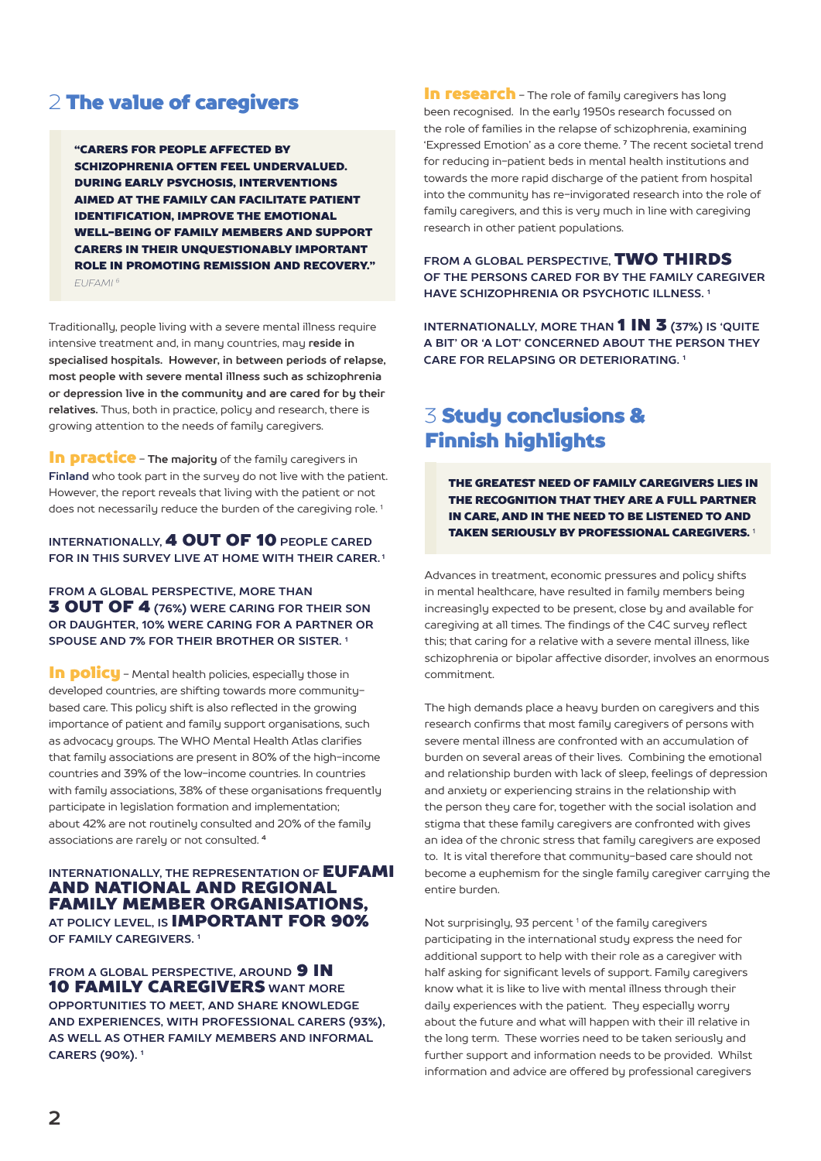## 2 The value of caregivers

"CARERS FOR PEOPLE AFFECTED BY SCHIZOPHRENIA OFTEN FEEL UNDERVALUED. DURING EARLY PSYCHOSIS, INTERVENTIONS AIMED AT THE FAMILY CAN FACILITATE PATIENT IDENTIFICATION, IMPROVE THE EMOTIONAL WELL-BEING OF FAMILY MEMBERS AND SUPPORT CARERS IN THEIR UNQUESTIONABLY IMPORTANT ROLE IN PROMOTING REMISSION AND RECOVERY." *EUFAMI 6*

Traditionally, people living with a severe mental illness require intensive treatment and, in many countries, may **reside in specialised hospitals. However, in between periods of relapse, most people with severe mental illness such as schizophrenia or depression live in the community and are cared for by their relatives.** Thus, both in practice, policy and research, there is growing attention to the needs of family caregivers.

**In practice** - The majority of the family caregivers in **Finland** who took part in the survey do not live with the patient. However, the report reveals that living with the patient or not does not necessarily reduce the burden of the caregiving role.<sup>1</sup>

### **INTERNATIONALLY,** 4 OUT OF 10 **PEOPLE CARED FOR IN THIS SURVEY LIVE AT HOME WITH THEIR CARER. 1**

**FROM A GLOBAL PERSPECTIVE, MORE THAN** 3 OUT OF 4 **(76%) WERE CARING FOR THEIR SON OR DAUGHTER, 10% WERE CARING FOR A PARTNER OR SPOUSE AND 7% FOR THEIR BROTHER OR SISTER. 1**

In policu - Mental health policies, especially those in developed countries, are shifting towards more communitybased care. This policy shift is also reflected in the growing importance of patient and family support organisations, such as advocacy groups. The WHO Mental Health Atlas clarifies that family associations are present in 80% of the high-income countries and 39% of the low-income countries. In countries with family associations, 38% of these organisations frequently participate in legislation formation and implementation; about 42% are not routinely consulted and 20% of the family associations are rarely or not consulted. **<sup>4</sup>**

### **INTERNATIONALLY, THE REPRESENTATION OF EUFAMI** AND NATIONAL AND REGIONAL FAMILY MEMBER ORGANISATIONS, **AT POLICY LEVEL, IS** IMPORTANT FOR 90% **OF FAMILY CAREGIVERS. 1**

**FROM A GLOBAL PERSPECTIVE. AROUND 9 IN** 10 FAMILY CAREGIVERS **WANT MORE OPPORTUNITIES TO MEET, AND SHARE KNOWLEDGE AND EXPERIENCES, WITH PROFESSIONAL CARERS (93%), AS WELL AS OTHER FAMILY MEMBERS AND INFORMAL CARERS (90%). 1**

**In research** - The role of family caregivers has long been recognised. In the early 1950s research focussed on the role of families in the relapse of schizophrenia, examining 'Expressed Emotion' as a core theme. **7** The recent societal trend for reducing in-patient beds in mental health institutions and towards the more rapid discharge of the patient from hospital into the community has re-invigorated research into the role of family caregivers, and this is very much in line with caregiving research in other patient populations.

**FROM A GLOBAL PERSPECTIVE,** TWO THIRDS **OF THE PERSONS CARED FOR BY THE FAMILY CAREGIVER HAVE SCHIZOPHRENIA OR PSYCHOTIC ILLNESS. 1**

**INTERNATIONALLY, MORE THAN 1 IN 3 (37%) IS 'QUITE A BIT' OR 'A LOT' CONCERNED ABOUT THE PERSON THEY CARE FOR RELAPSING OR DETERIORATING. 1**

# 3 Study conclusions & Finnish highlights

THE GREATEST NEED OF FAMILY CAREGIVERS LIES IN THE RECOGNITION THAT THEY ARE A FULL PARTNER IN CARE, AND IN THE NEED TO BE LISTENED TO AND TAKEN SERIOUSLY BY PROFESSIONAL CAREGIVERS. <sup>1</sup>

Advances in treatment, economic pressures and policy shifts in mental healthcare, have resulted in family members being increasingly expected to be present, close by and available for caregiving at all times. The findings of the C4C survey reflect this; that caring for a relative with a severe mental illness, like schizophrenia or bipolar affective disorder, involves an enormous commitment.

The high demands place a heavy burden on caregivers and this research confirms that most family caregivers of persons with severe mental illness are confronted with an accumulation of burden on several areas of their lives. Combining the emotional and relationship burden with lack of sleep, feelings of depression and anxiety or experiencing strains in the relationship with the person they care for, together with the social isolation and stigma that these family caregivers are confronted with gives an idea of the chronic stress that family caregivers are exposed to. It is vital therefore that community-based care should not become a euphemism for the single family caregiver carrying the entire burden.

Not surprisingly, 93 percent<sup>1</sup> of the family caregivers participating in the international study express the need for additional support to help with their role as a caregiver with half asking for significant levels of support. Family caregivers know what it is like to live with mental illness through their daily experiences with the patient. They especially worry about the future and what will happen with their ill relative in the long term. These worries need to be taken seriously and further support and information needs to be provided. Whilst information and advice are offered by professional caregivers